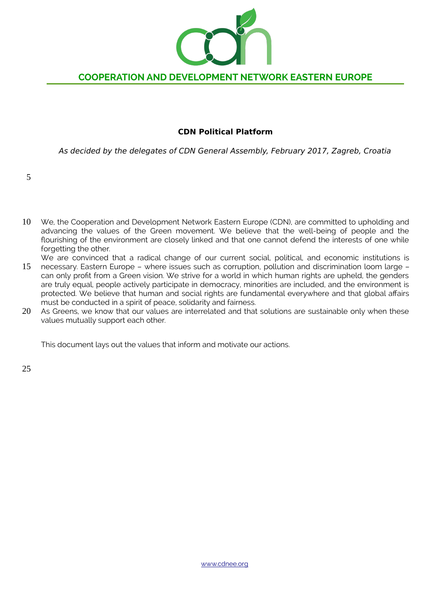

### **CDN Political Platform**

As decided by the delegates of CDN General Assembly, February 2017, Zagreb, Croatia

We, the Cooperation and Development Network Eastern Europe (CDN), are committed to upholding and advancing the values of the Green movement. We believe that the well-being of people and the flourishing of the environment are closely linked and that one cannot defend the interests of one while forgetting the other. 10

We are convinced that a radical change of our current social, political, and economic institutions is

- necessary. Eastern Europe where issues such as corruption, pollution and discrimination loom large can only profit from a Green vision. We strive for a world in which human rights are upheld, the genders are truly equal, people actively participate in democracy, minorities are included, and the environment is protected. We believe that human and social rights are fundamental everywhere and that global affairs must be conducted in a spirit of peace, solidarity and fairness. 15
- As Greens, we know that our values are interrelated and that solutions are sustainable only when these values mutually support each other. 20

This document lays out the values that inform and motivate our actions.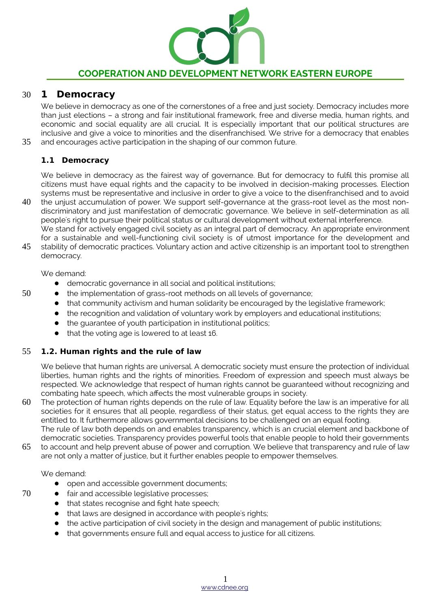

#### **1 Democracy** 30

35

50

We believe in democracy as one of the cornerstones of a free and just society. Democracy includes more than just elections – a strong and fair institutional framework, free and diverse media, human rights, and economic and social equality are all crucial. It is especially important that our political structures are inclusive and give a voice to minorities and the disenfranchised. We strive for a democracy that enables and encourages active participation in the shaping of our common future.

### **1.1 Democracy**

We believe in democracy as the fairest way of governance. But for democracy to fulfil this promise all citizens must have equal rights and the capacity to be involved in decision-making processes. Election systems must be representative and inclusive in order to give a voice to the disenfranchised and to avoid

the unjust accumulation of power. We support self-governance at the grass-root level as the most nondiscriminatory and just manifestation of democratic governance. We believe in self-determination as all people's right to pursue their political status or cultural development without external interference. We stand for actively engaged civil society as an integral part of democracy. An appropriate environment 40

for a sustainable and well-functioning civil society is of utmost importance for the development and stability of democratic practices. Voluntary action and active citizenship is an important tool to strengthen democracy. 45

We demand:

- democratic governance in all social and political institutions;
- the implementation of grass-root methods on all levels of governance;
- that community activism and human solidarity be encouraged by the legislative framework;
- the recognition and validation of voluntary work by employers and educational institutions;
- the guarantee of youth participation in institutional politics;
- that the voting age is lowered to at least 16.

#### **1.2. Human rights and the rule of law** 55

We believe that human rights are universal. A democratic society must ensure the protection of individual liberties, human rights and the rights of minorities. Freedom of expression and speech must always be respected. We acknowledge that respect of human rights cannot be guaranteed without recognizing and combating hate speech, which affects the most vulnerable groups in society.

The protection of human rights depends on the rule of law. Equality before the law is an imperative for all societies for it ensures that all people, regardless of their status, get equal access to the rights they are entitled to. It furthermore allows governmental decisions to be challenged on an equal footing. 60

The rule of law both depends on and enables transparency, which is an crucial element and backbone of democratic societies. Transparency provides powerful tools that enable people to hold their governments to account and help prevent abuse of power and corruption. We believe that transparency and rule of law are not only a matter of justice, but it further enables people to empower themselves. 65

We demand:

- open and accessible government documents;
- fair and accessible legislative processes;
- that states recognise and fight hate speech;
- that laws are designed in accordance with people's rights;
- the active participation of civil society in the design and management of public institutions;
- that governments ensure full and equal access to justice for all citizens.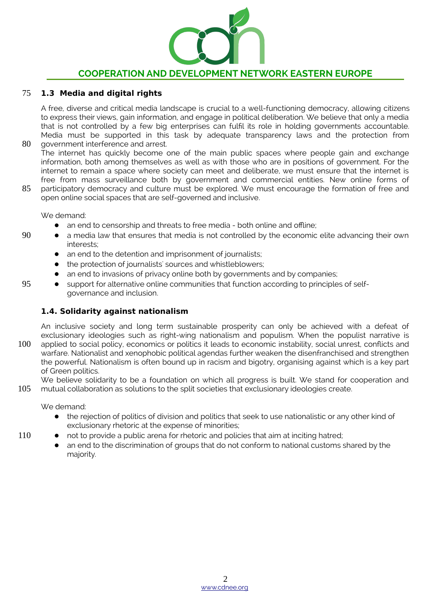

#### **1.3 Media and digital rights** 75

A free, diverse and critical media landscape is crucial to a well-functioning democracy, allowing citizens to express their views, gain information, and engage in political deliberation. We believe that only a media that is not controlled by a few big enterprises can fulfil its role in holding governments accountable. Media must be supported in this task by adequate transparency laws and the protection from government interference and arrest.

The internet has quickly become one of the main public spaces where people gain and exchange information, both among themselves as well as with those who are in positions of government. For the internet to remain a space where society can meet and deliberate, we must ensure that the internet is free from mass surveillance both by government and commercial entities. New online forms of participatory democracy and culture must be explored. We must encourage the formation of free and 80

open online social spaces that are self-governed and inclusive. 85

We demand:

- an end to censorship and threats to free media both online and offline;
- a media law that ensures that media is not controlled by the economic elite advancing their own interests;
- an end to the detention and imprisonment of journalists;
- the protection of journalists' sources and whistleblowers;
- an end to invasions of privacy online both by governments and by companies;
- support for alternative online communities that function according to principles of selfgovernance and inclusion.

### **1.4. Solidarity against nationalism**

An inclusive society and long term sustainable prosperity can only be achieved with a defeat of exclusionary ideologies such as right-wing nationalism and populism. When the populist narrative is applied to social policy, economics or politics it leads to economic instability, social unrest, conflicts and warfare. Nationalist and xenophobic political agendas further weaken the disenfranchised and strengthen the powerful. Nationalism is often bound up in racism and bigotry, organising against which is a key part of Green politics. 100

We believe solidarity to be a foundation on which all progress is built. We stand for cooperation and mutual collaboration as solutions to the split societies that exclusionary ideologies create. 105

We demand:

- the rejection of politics of division and politics that seek to use nationalistic or any other kind of exclusionary rhetoric at the expense of minorities;
- not to provide a public arena for rhetoric and policies that aim at inciting hatred;
	- an end to the discrimination of groups that do not conform to national customs shared by the majority.

110

90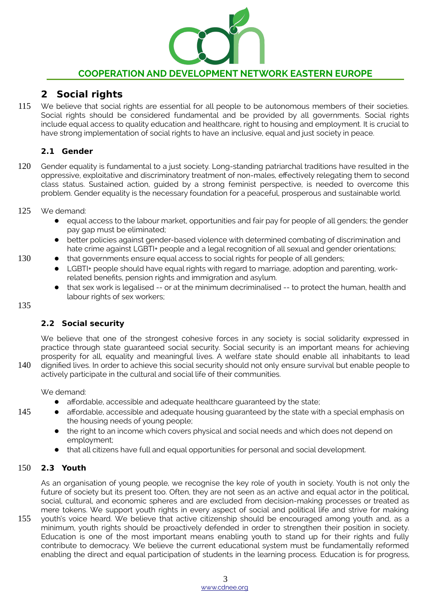

# **2 Social rights**

We believe that social rights are essential for all people to be autonomous members of their societies. Social rights should be considered fundamental and be provided by all governments. Social rights include equal access to quality education and healthcare, right to housing and employment. It is crucial to have strong implementation of social rights to have an inclusive, equal and just society in peace. 115

# **2.1 Gender**

Gender equality is fundamental to a just society. Long-standing patriarchal traditions have resulted in the oppressive, exploitative and discriminatory treatment of non-males, effectively relegating them to second class status. Sustained action, guided by a strong feminist perspective, is needed to overcome this problem. Gender equality is the necessary foundation for a peaceful, prosperous and sustainable world. 120

#### We demand: 125

- equal access to the labour market, opportunities and fair pay for people of all genders; the gender pay gap must be eliminated;
- better policies against gender-based violence with determined combating of discrimination and hate crime against LGBTI+ people and a legal recognition of all sexual and gender orientations;
- that governments ensure equal access to social rights for people of all genders;
	- LGBTI+ people should have equal rights with regard to marriage, adoption and parenting, workrelated benefits, pension rights and immigration and asylum.
	- that sex work is legalised -- or at the minimum decriminalised -- to protect the human, health and labour rights of sex workers;

## 135

140

145

130

# **2.2 Social security**

We believe that one of the strongest cohesive forces in any society is social solidarity expressed in practice through state guaranteed social security. Social security is an important means for achieving prosperity for all, equality and meaningful lives. A welfare state should enable all inhabitants to lead dignified lives. In order to achieve this social security should not only ensure survival but enable people to actively participate in the cultural and social life of their communities.

We demand:

- affordable, accessible and adequate healthcare guaranteed by the state;
- affordable, accessible and adequate housing guaranteed by the state with a special emphasis on the housing needs of young people;
	- the right to an income which covers physical and social needs and which does not depend on employment;
	- that all citizens have full and equal opportunities for personal and social development.

#### **2.3 Youth** 150

As an organisation of young people, we recognise the key role of youth in society. Youth is not only the future of society but its present too. Often, they are not seen as an active and equal actor in the political, social, cultural, and economic spheres and are excluded from decision-making processes or treated as mere tokens. We support youth rights in every aspect of social and political life and strive for making

youth's voice heard. We believe that active citizenship should be encouraged among youth and, as a minimum, youth rights should be proactively defended in order to strengthen their position in society. Education is one of the most important means enabling youth to stand up for their rights and fully contribute to democracy. We believe the current educational system must be fundamentally reformed enabling the direct and equal participation of students in the learning process. Education is for progress, 155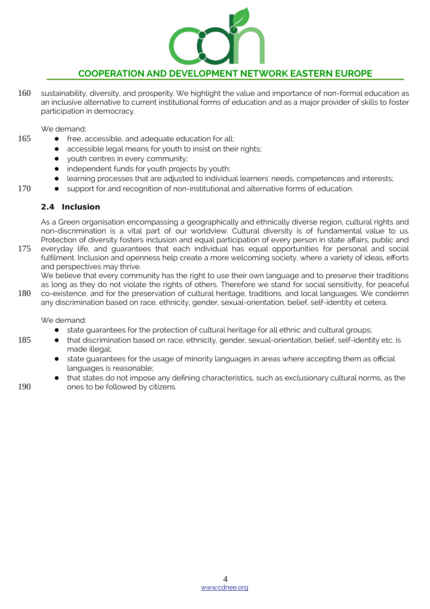

sustainability, diversity, and prosperity. We highlight the value and importance of non-formal education as an inclusive alternative to current institutional forms of education and as a major provider of skills to foster participation in democracy. 160

We demand:

165

170

- free, accessible, and adequate education for all;
- accessible legal means for youth to insist on their rights;
	- youth centres in every community;
- independent funds for youth projects by youth;
- learning processes that are adjusted to individual learners' needs, competences and interests;
- support for and recognition of non-institutional and alternative forms of education.

#### **2.4 Inclusion**

As a Green organisation encompassing a geographically and ethnically diverse region, cultural rights and non-discrimination is a vital part of our worldview. Cultural diversity is of fundamental value to us. Protection of diversity fosters inclusion and equal participation of every person in state affairs, public and everyday life, and guarantees that each individual has equal opportunities for personal and social fulfilment. Inclusion and openness help create a more welcoming society, where a variety of ideas, efforts and perspectives may thrive. 175

We believe that every community has the right to use their own language and to preserve their traditions as long as they do not violate the rights of others. Therefore we stand for social sensitivity, for peaceful co-existence, and for the preservation of cultural heritage, traditions, and local languages. We condemn

any discrimination based on race, ethnicity, gender, sexual-orientation, belief, self-identity et cetera. 180

We demand:

- state guarantees for the protection of cultural heritage for all ethnic and cultural groups;
- that discrimination based on race, ethnicity, gender, sexual-orientation, belief, self-identity etc. is made illegal;
	- state guarantees for the usage of minority languages in areas where accepting them as official languages is reasonable;
- that states do not impose any defining characteristics, such as exclusionary cultural norms, as the ones to be followed by citizens.

190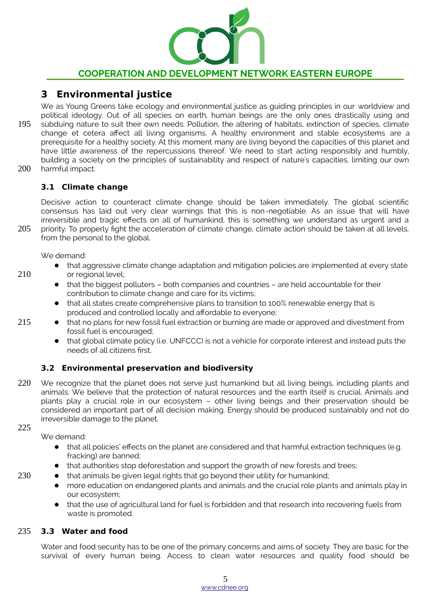

# **3 Environmental justice**

- We as Young Greens take ecology and environmental justice as guiding principles in our worldview and political ideology. Out of all species on earth, human beings are the only ones drastically using and subduing nature to suit their own needs. Pollution, the altering of habitats, extinction of species, climate change et cetera affect all living organisms. A healthy environment and stable ecosystems are a prerequisite for a healthy society. At this moment many are living beyond the capacities of this planet and have little awareness of the repercussions thereof. We need to start acting responsibly and humbly, building a society on the principles of sustainability and respect of nature's capacities, limiting our own harmful impact. 195 200
- 

#### **3.1 Climate change**

Decisive action to counteract climate change should be taken immediately. The global scientific consensus has laid out very clear warnings that this is non-negotiable. As an issue that will have irreversible and tragic effects on all of humankind, this is something we understand as urgent and a

priority. To properly fight the acceleration of climate change, climate action should be taken at all levels, from the personal to the global. 205

We demand:

- that aggressive climate change adaptation and mitigation policies are implemented at every state or regional level;
	- that the biggest polluters both companies and countries are held accountable for their contribution to climate change and care for its victims;
	- that all states create comprehensive plans to transition to 100% renewable energy that is produced and controlled locally and affordable to everyone;
- that no plans for new fossil fuel extraction or burning are made or approved and divestment from fossil fuel is encouraged;
	- that global climate policy (i.e. UNFCCC) is not a vehicle for corporate interest and instead puts the needs of all citizens first.

### **3.2 Environmental preservation and biodiversity**

- We recognize that the planet does not serve just humankind but all living beings, including plants and animals. We believe that the protection of natural resources and the earth itself is crucial. Animals and plants play a crucial role in our ecosystem – other living beings and their preservation should be considered an important part of all decision making. Energy should be produced sustainably and not do irreversible damage to the planet. 220
- 225

230

210

215

We demand:

- that all policies' effects on the planet are considered and that harmful extraction techniques (e.g. fracking) are banned;
- that authorities stop deforestation and support the growth of new forests and trees;
- that animals be given legal rights that go beyond their utility for humankind;
	- more education on endangered plants and animals and the crucial role plants and animals play in our ecosystem;
	- that the use of agricultural land for fuel is forbidden and that research into recovering fuels from waste is promoted.

#### **3.3 Water and food** 235

Water and food security has to be one of the primary concerns and aims of society. They are basic for the survival of every human being. Access to clean water resources and quality food should be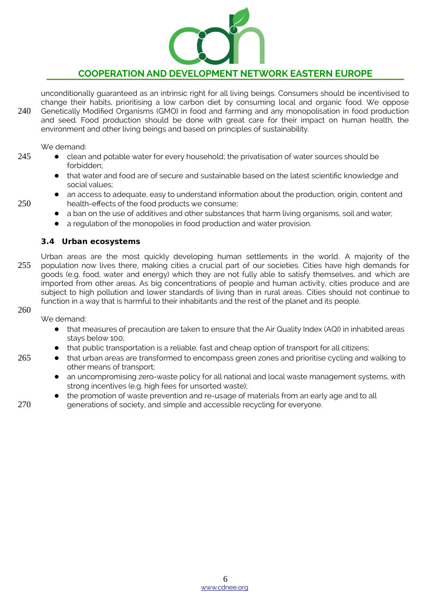

unconditionally guaranteed as an intrinsic right for all living beings. Consumers should be incentivised to change their habits, prioritising a low carbon diet by consuming local and organic food. We oppose Genetically Modified Organisms (GMO) in food and farming and any monopolisation in food production and seed. Food production should be done with great care for their impact on human health, the environment and other living beings and based on principles of sustainability. 240

We demand:

- clean and potable water for every household; the privatisation of water sources should be forbidden;
	- that water and food are of secure and sustainable based on the latest scientific knowledge and social values;
	- an access to adequate, easy to understand information about the production, origin, content and health-effects of the food products we consume;
	- a ban on the use of additives and other substances that harm living organisms, soil and water;
	- a regulation of the monopolies in food production and water provision.

#### **3.4 Urban ecosystems**

Urban areas are the most quickly developing human settlements in the world. A majority of the population now lives there, making cities a crucial part of our societies. Cities have high demands for goods (e.g. food, water and energy) which they are not fully able to satisfy themselves, and which are imported from other areas. As big concentrations of people and human activity, cities produce and are subject to high pollution and lower standards of living than in rural areas. Cities should not continue to function in a way that is harmful to their inhabitants and the rest of the planet and its people. 255

260

265

245

250

We demand:

- that measures of precaution are taken to ensure that the Air Quality Index (AQI) in inhabited areas stays below 100;
- that public transportation is a reliable, fast and cheap option of transport for all citizens;
- that urban areas are transformed to encompass green zones and prioritise cycling and walking to other means of transport;
	- an uncompromising zero-waste policy for all national and local waste management systems, with strong incentives (e.g. high fees for unsorted waste);
	- the promotion of waste prevention and re-usage of materials from an early age and to all generations of society, and simple and accessible recycling for everyone.

6 [www.cdnee.org](http://www.cdnee.org/)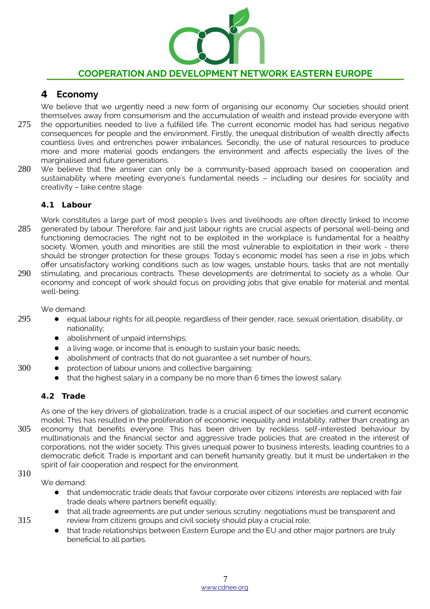

# **4 Economy**

We believe that we urgently need a new form of organising our economy. Our societies should orient themselves away from consumerism and the accumulation of wealth and instead provide everyone with

- the opportunities needed to live a fulfilled life. The current economic model has had serious negative consequences for people and the environment. Firstly, the unequal distribution of wealth directly affects countless lives and entrenches power imbalances. Secondly, the use of natural resources to produce more and more material goods endangers the environment and affects especially the lives of the marginalised and future generations. 275
- We believe that the answer can only be a community-based approach based on cooperation and sustainability where meeting everyone's fundamental needs – including our desires for sociality and creativity – take centre stage. 280

# **4.1 Labour**

Work constitutes a large part of most people's lives and livelihoods are often directly linked to income generated by labour. Therefore, fair and just labour rights are crucial aspects of personal well-being and functioning democracies. The right not to be exploited in the workplace is fundamental for a healthy society. Women, youth and minorities are still the most vulnerable to exploitation in their work - there should be stronger protection for these groups. Today's economic model has seen a rise in jobs which offer unsatisfactory working conditions such as low wages, unstable hours, tasks that are not mentally stimulating, and precarious contracts. These developments are detrimental to society as a whole. Our economy and concept of work should focus on providing jobs that give enable for material and mental well-being. 285 290

We demand:

- equal labour rights for all people, regardless of their gender, race, sexual orientation, disability, or nationality;
	- abolishment of unpaid internships:
	- a living wage, or income that is enough to sustain your basic needs;
	- abolishment of contracts that do not quarantee a set number of hours;
	- protection of labour unions and collective bargaining;
	- that the highest salary in a company be no more than 6 times the lowest salary.

### **4.2 Trade**

As one of the key drivers of globalization, trade is a crucial aspect of our societies and current economic model. This has resulted in the proliferation of economic inequality and instability, rather than creating an economy that benefits everyone. This has been driven by reckless self-interested behaviour by multinationals and the financial sector and aggressive trade policies that are created in the interest of corporations, not the wider society. This gives unequal power to business interests, leading countries to a democratic deficit. Trade is important and can benefit humanity greatly, but it must be undertaken in the spirit of fair cooperation and respect for the environment. 305

#### 310

315

295

300

We demand:

- that undemocratic trade deals that favour corporate over citizens' interests are replaced with fair trade deals where partners benefit equally;
- that all trade agreements are put under serious scrutiny: negotiations must be transparent and review from citizens groups and civil society should play a crucial role;
- that trade relationships between Eastern Europe and the EU and other major partners are truly beneficial to all parties.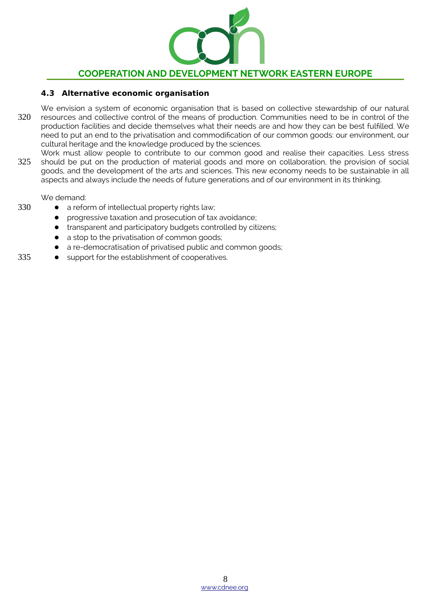

#### **4.3 Alternative economic organisation**

- We envision a system of economic organisation that is based on collective stewardship of our natural resources and collective control of the means of production. Communities need to be in control of the production facilities and decide themselves what their needs are and how they can be best fulfilled. We need to put an end to the privatisation and commodification of our common goods: our environment, our cultural heritage and the knowledge produced by the sciences. 320
- Work must allow people to contribute to our common good and realise their capacities. Less stress should be put on the production of material goods and more on collaboration, the provision of social goods, and the development of the arts and sciences. This new economy needs to be sustainable in all aspects and always include the needs of future generations and of our environment in its thinking. 325

We demand:

- a reform of intellectual property rights law;
- progressive taxation and prosecution of tax avoidance;
- transparent and participatory budgets controlled by citizens;
- a stop to the privatisation of common goods;
- a re-democratisation of privatised public and common goods;
- support for the establishment of cooperatives. 335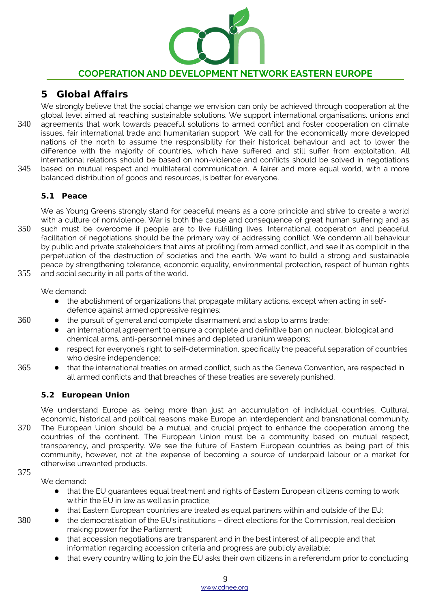

# **5 Global Affairs**

We strongly believe that the social change we envision can only be achieved through cooperation at the global level aimed at reaching sustainable solutions. We support international organisations, unions and agreements that work towards peaceful solutions to armed conflict and foster cooperation on climate issues, fair international trade and humanitarian support. We call for the economically more developed nations of the north to assume the responsibility for their historical behaviour and act to lower the difference with the majority of countries, which have suffered and still suffer from exploitation. All international relations should be based on non-violence and conflicts should be solved in negotiations based on mutual respect and multilateral communication. A fairer and more equal world, with a more balanced distribution of goods and resources, is better for everyone. 340 345

# **5.1 Peace**

We as Young Greens strongly stand for peaceful means as a core principle and strive to create a world with a culture of nonviolence. War is both the cause and consequence of great human suffering and as

such must be overcome if people are to live fulfilling lives. International cooperation and peaceful facilitation of negotiations should be the primary way of addressing conflict. We condemn all behaviour by public and private stakeholders that aims at profiting from armed conflict, and see it as complicit in the perpetuation of the destruction of societies and the earth. We want to build a strong and sustainable peace by strengthening tolerance, economic equality, environmental protection, respect of human rights and social security in all parts of the world. 350 355

We demand:

- the abolishment of organizations that propagate military actions, except when acting in selfdefence against armed oppressive regimes;
- the pursuit of general and complete disarmament and a stop to arms trade;
	- an international agreement to ensure a complete and definitive ban on nuclear, biological and chemical arms, anti-personnel mines and depleted uranium weapons;
- respect for everyone's right to self-determination, specifically the peaceful separation of countries who desire independence;
- that the international treaties on armed conflict, such as the Geneva Convention, are respected in all armed conflicts and that breaches of these treaties are severely punished. 365

# **5.2 European Union**

We understand Europe as being more than just an accumulation of individual countries. Cultural, economic, historical and political reasons make Europe an interdependent and transnational community.

The European Union should be a mutual and crucial project to enhance the cooperation among the countries of the continent. The European Union must be a community based on mutual respect, transparency, and prosperity. We see the future of Eastern European countries as being part of this community, however, not at the expense of becoming a source of underpaid labour or a market for otherwise unwanted products. 370

## 375

360

We demand:

- that the EU guarantees equal treatment and rights of Eastern European citizens coming to work within the EU in law as well as in practice;
- that Eastern European countries are treated as equal partners within and outside of the EU;
- the democratisation of the EU's institutions direct elections for the Commission, real decision making power for the Parliament;
- that accession negotiations are transparent and in the best interest of all people and that information regarding accession criteria and progress are publicly available;
- that every country willing to join the EU asks their own citizens in a referendum prior to concluding